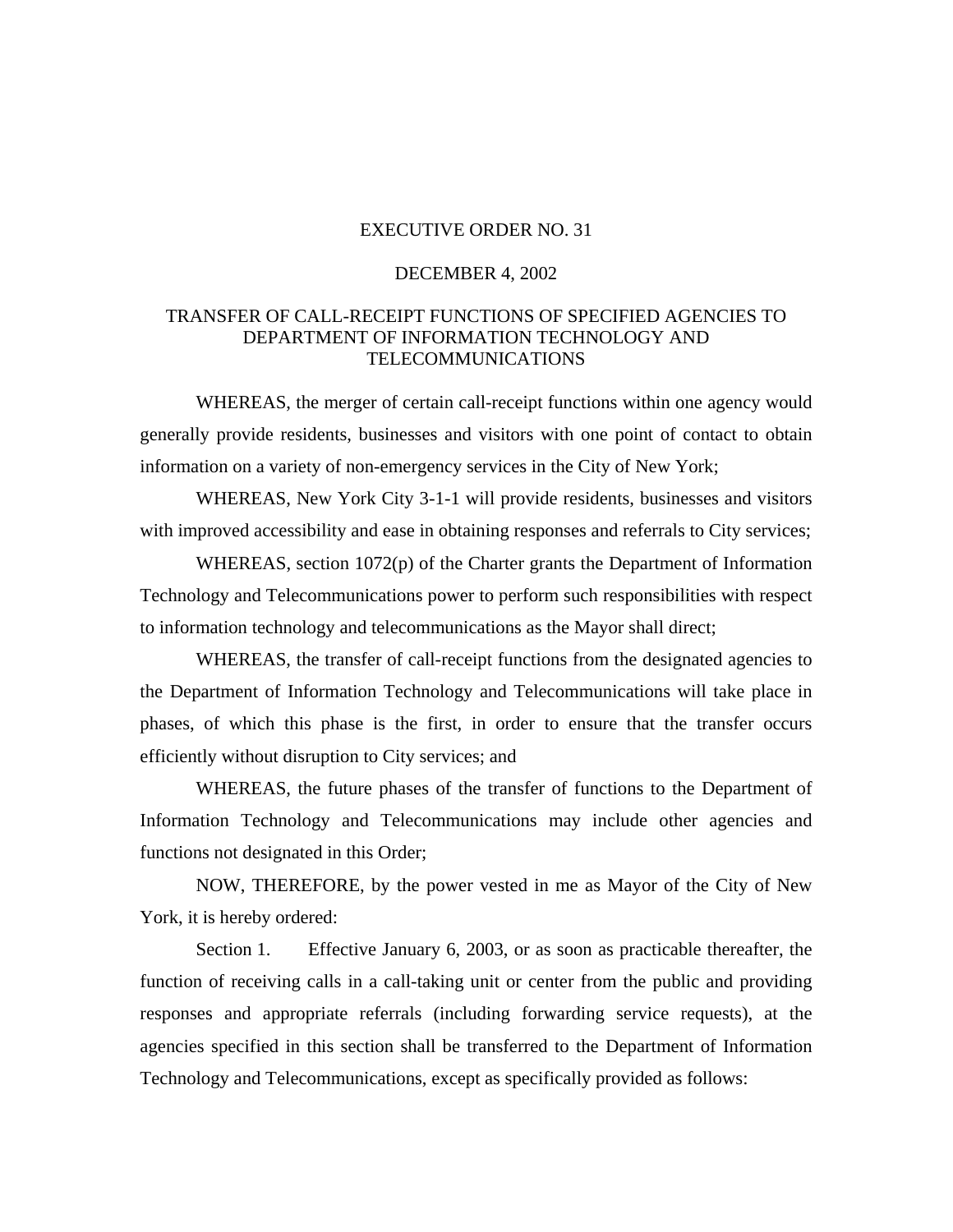## EXECUTIVE ORDER NO. 31

## DECEMBER 4, 2002

## TRANSFER OF CALL-RECEIPT FUNCTIONS OF SPECIFIED AGENCIES TO DEPARTMENT OF INFORMATION TECHNOLOGY AND TELECOMMUNICATIONS

WHEREAS, the merger of certain call-receipt functions within one agency would generally provide residents, businesses and visitors with one point of contact to obtain information on a variety of non-emergency services in the City of New York;

WHEREAS, New York City 3-1-1 will provide residents, businesses and visitors with improved accessibility and ease in obtaining responses and referrals to City services;

WHEREAS, section 1072(p) of the Charter grants the Department of Information Technology and Telecommunications power to perform such responsibilities with respect to information technology and telecommunications as the Mayor shall direct;

WHEREAS, the transfer of call-receipt functions from the designated agencies to the Department of Information Technology and Telecommunications will take place in phases, of which this phase is the first, in order to ensure that the transfer occurs efficiently without disruption to City services; and

WHEREAS, the future phases of the transfer of functions to the Department of Information Technology and Telecommunications may include other agencies and functions not designated in this Order;

NOW, THEREFORE, by the power vested in me as Mayor of the City of New York, it is hereby ordered:

Section 1. Effective January 6, 2003, or as soon as practicable thereafter, the function of receiving calls in a call-taking unit or center from the public and providing responses and appropriate referrals (including forwarding service requests), at the agencies specified in this section shall be transferred to the Department of Information Technology and Telecommunications, except as specifically provided as follows: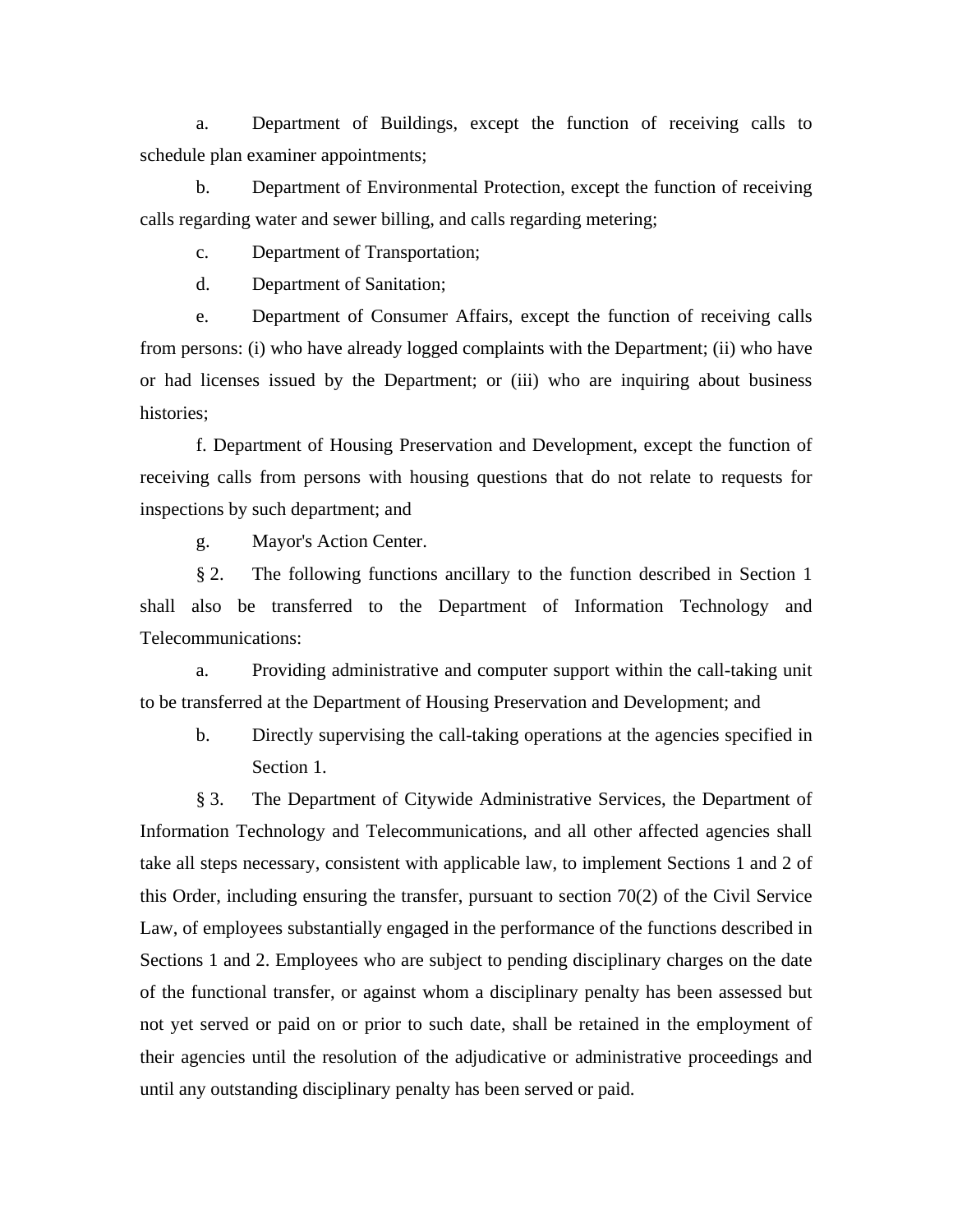a. Department of Buildings, except the function of receiving calls to schedule plan examiner appointments;

b. Department of Environmental Protection, except the function of receiving calls regarding water and sewer billing, and calls regarding metering;

c. Department of Transportation;

d. Department of Sanitation;

e. Department of Consumer Affairs, except the function of receiving calls from persons: (i) who have already logged complaints with the Department; (ii) who have or had licenses issued by the Department; or (iii) who are inquiring about business histories;

f. Department of Housing Preservation and Development, except the function of receiving calls from persons with housing questions that do not relate to requests for inspections by such department; and

g. Mayor's Action Center.

§ 2. The following functions ancillary to the function described in Section 1 shall also be transferred to the Department of Information Technology and Telecommunications:

a. Providing administrative and computer support within the call-taking unit to be transferred at the Department of Housing Preservation and Development; and

b. Directly supervising the call-taking operations at the agencies specified in Section 1.

§ 3. The Department of Citywide Administrative Services, the Department of Information Technology and Telecommunications, and all other affected agencies shall take all steps necessary, consistent with applicable law, to implement Sections 1 and 2 of this Order, including ensuring the transfer, pursuant to section 70(2) of the Civil Service Law, of employees substantially engaged in the performance of the functions described in Sections 1 and 2. Employees who are subject to pending disciplinary charges on the date of the functional transfer, or against whom a disciplinary penalty has been assessed but not yet served or paid on or prior to such date, shall be retained in the employment of their agencies until the resolution of the adjudicative or administrative proceedings and until any outstanding disciplinary penalty has been served or paid.